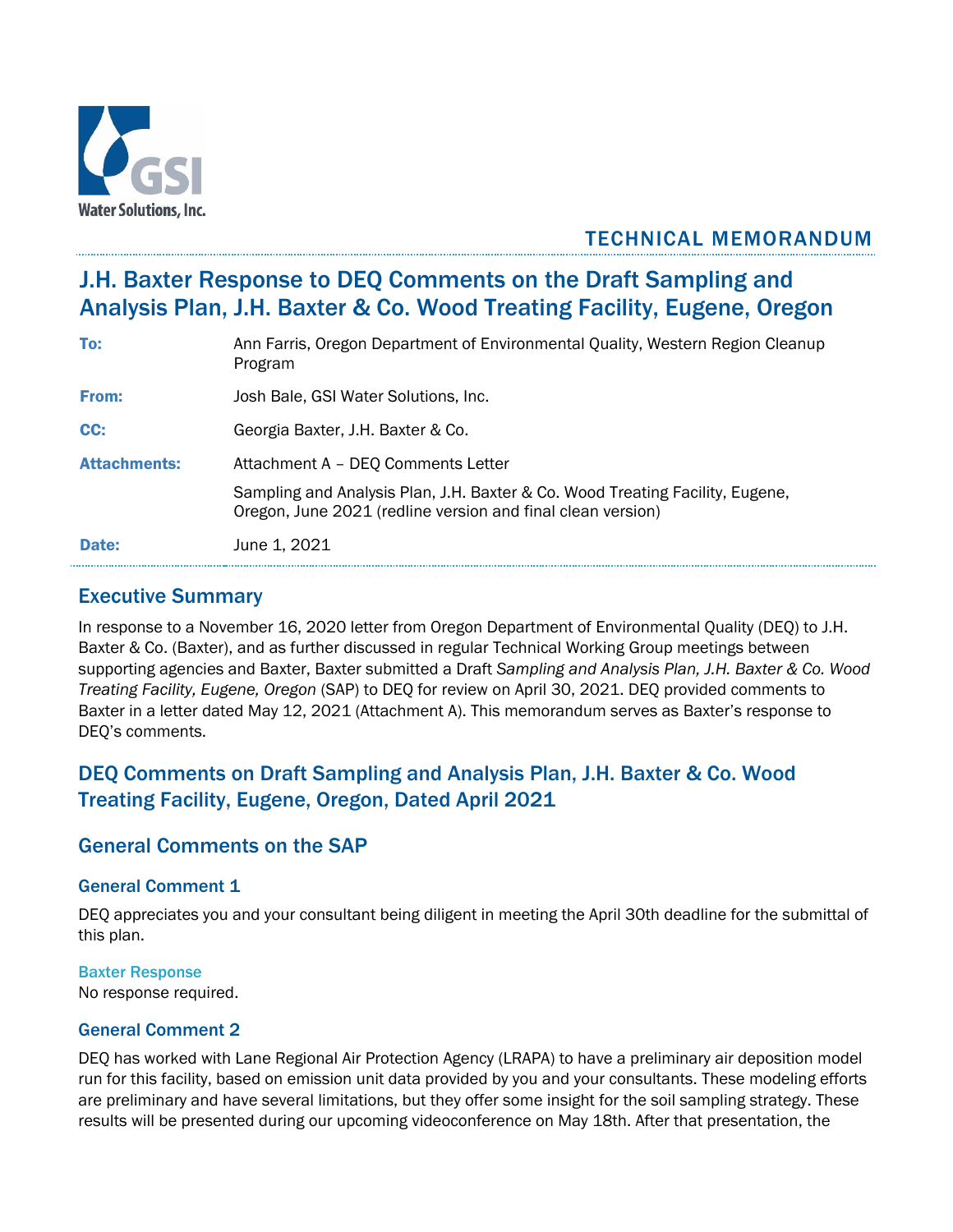

# TECHNICAL MEMORANDUM

# J.H. Baxter Response to DEQ Comments on the Draft Sampling and Analysis Plan, J.H. Baxter & Co. Wood Treating Facility, Eugene, Oregon

| To:                 | Ann Farris, Oregon Department of Environmental Quality, Western Region Cleanup<br>Program                                                    |
|---------------------|----------------------------------------------------------------------------------------------------------------------------------------------|
| From:               | Josh Bale, GSI Water Solutions, Inc.                                                                                                         |
| CC:                 | Georgia Baxter, J.H. Baxter & Co.                                                                                                            |
| <b>Attachments:</b> | Attachment A - DEQ Comments Letter                                                                                                           |
|                     | Sampling and Analysis Plan, J.H. Baxter & Co. Wood Treating Facility, Eugene,<br>Oregon, June 2021 (redline version and final clean version) |
| Date:               | June 1, 2021                                                                                                                                 |

# Executive Summary

In response to a November 16, 2020 letter from Oregon Department of Environmental Quality (DEQ) to J.H. Baxter & Co. (Baxter), and as further discussed in regular Technical Working Group meetings between supporting agencies and Baxter, Baxter submitted a Draft *Sampling and Analysis Plan, J.H. Baxter & Co. Wood Treating Facility, Eugene, Oregon* (SAP) to DEQ for review on April 30, 2021. DEQ provided comments to Baxter in a letter dated May 12, 2021 (Attachment A). This memorandum serves as Baxter's response to DEQ's comments.

# DEQ Comments on Draft Sampling and Analysis Plan, J.H. Baxter & Co. Wood Treating Facility, Eugene, Oregon, Dated April 2021

# General Comments on the SAP

# General Comment 1

DEQ appreciates you and your consultant being diligent in meeting the April 30th deadline for the submittal of this plan.

#### Baxter Response

No response required.

# General Comment 2

DEQ has worked with Lane Regional Air Protection Agency (LRAPA) to have a preliminary air deposition model run for this facility, based on emission unit data provided by you and your consultants. These modeling efforts are preliminary and have several limitations, but they offer some insight for the soil sampling strategy. These results will be presented during our upcoming videoconference on May 18th. After that presentation, the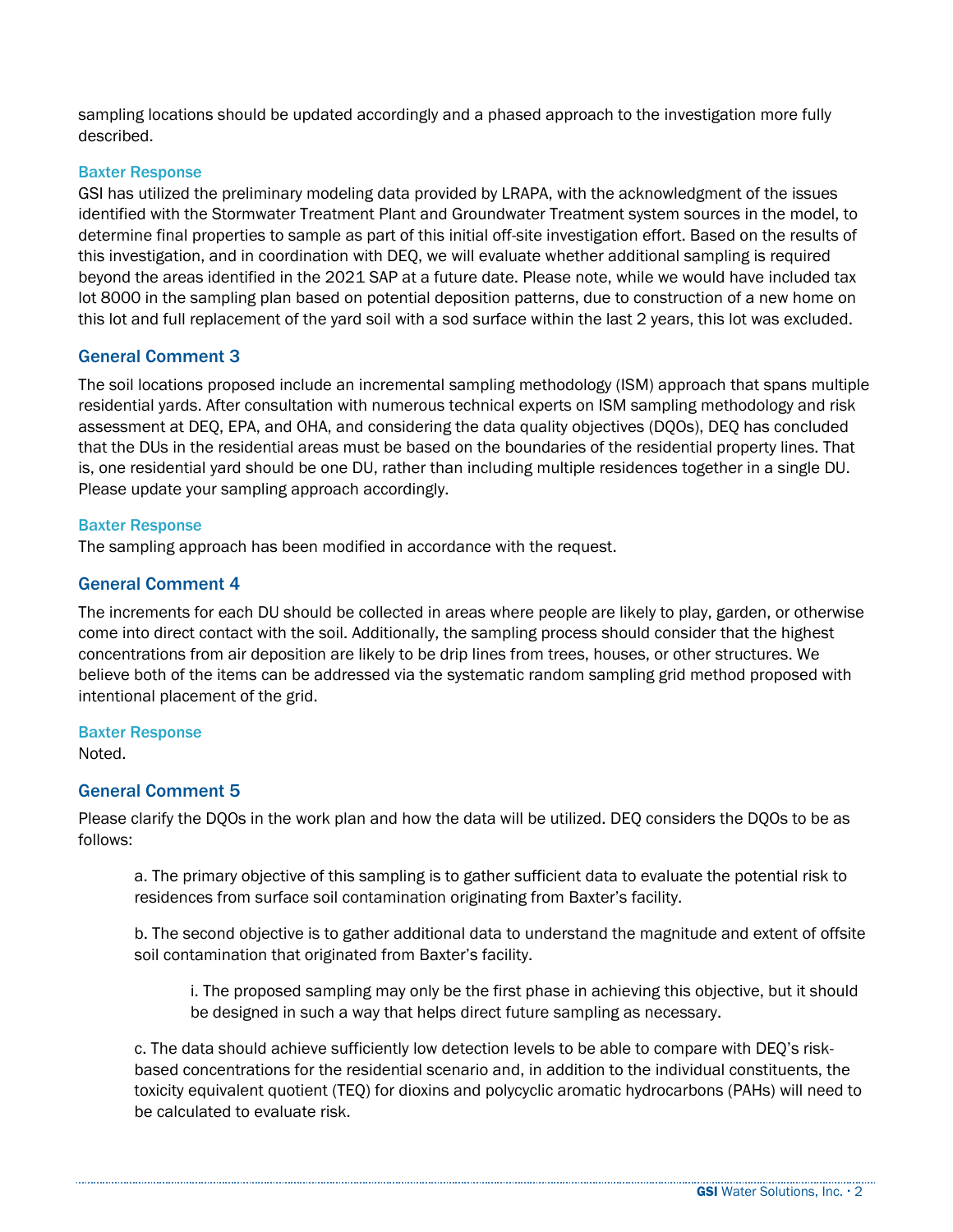sampling locations should be updated accordingly and a phased approach to the investigation more fully described.

#### Baxter Response

GSI has utilized the preliminary modeling data provided by LRAPA, with the acknowledgment of the issues identified with the Stormwater Treatment Plant and Groundwater Treatment system sources in the model, to determine final properties to sample as part of this initial off-site investigation effort. Based on the results of this investigation, and in coordination with DEQ, we will evaluate whether additional sampling is required beyond the areas identified in the 2021 SAP at a future date. Please note, while we would have included tax lot 8000 in the sampling plan based on potential deposition patterns, due to construction of a new home on this lot and full replacement of the yard soil with a sod surface within the last 2 years, this lot was excluded.

# General Comment 3

The soil locations proposed include an incremental sampling methodology (ISM) approach that spans multiple residential yards. After consultation with numerous technical experts on ISM sampling methodology and risk assessment at DEQ, EPA, and OHA, and considering the data quality objectives (DQOs), DEQ has concluded that the DUs in the residential areas must be based on the boundaries of the residential property lines. That is, one residential yard should be one DU, rather than including multiple residences together in a single DU. Please update your sampling approach accordingly.

#### Baxter Response

The sampling approach has been modified in accordance with the request.

## General Comment 4

The increments for each DU should be collected in areas where people are likely to play, garden, or otherwise come into direct contact with the soil. Additionally, the sampling process should consider that the highest concentrations from air deposition are likely to be drip lines from trees, houses, or other structures. We believe both of the items can be addressed via the systematic random sampling grid method proposed with intentional placement of the grid.

#### Baxter Response

Noted.

#### General Comment 5

Please clarify the DQOs in the work plan and how the data will be utilized. DEQ considers the DQOs to be as follows:

a. The primary objective of this sampling is to gather sufficient data to evaluate the potential risk to residences from surface soil contamination originating from Baxter's facility.

b. The second objective is to gather additional data to understand the magnitude and extent of offsite soil contamination that originated from Baxter's facility.

i. The proposed sampling may only be the first phase in achieving this objective, but it should be designed in such a way that helps direct future sampling as necessary.

c. The data should achieve sufficiently low detection levels to be able to compare with DEQ's riskbased concentrations for the residential scenario and, in addition to the individual constituents, the toxicity equivalent quotient (TEQ) for dioxins and polycyclic aromatic hydrocarbons (PAHs) will need to be calculated to evaluate risk.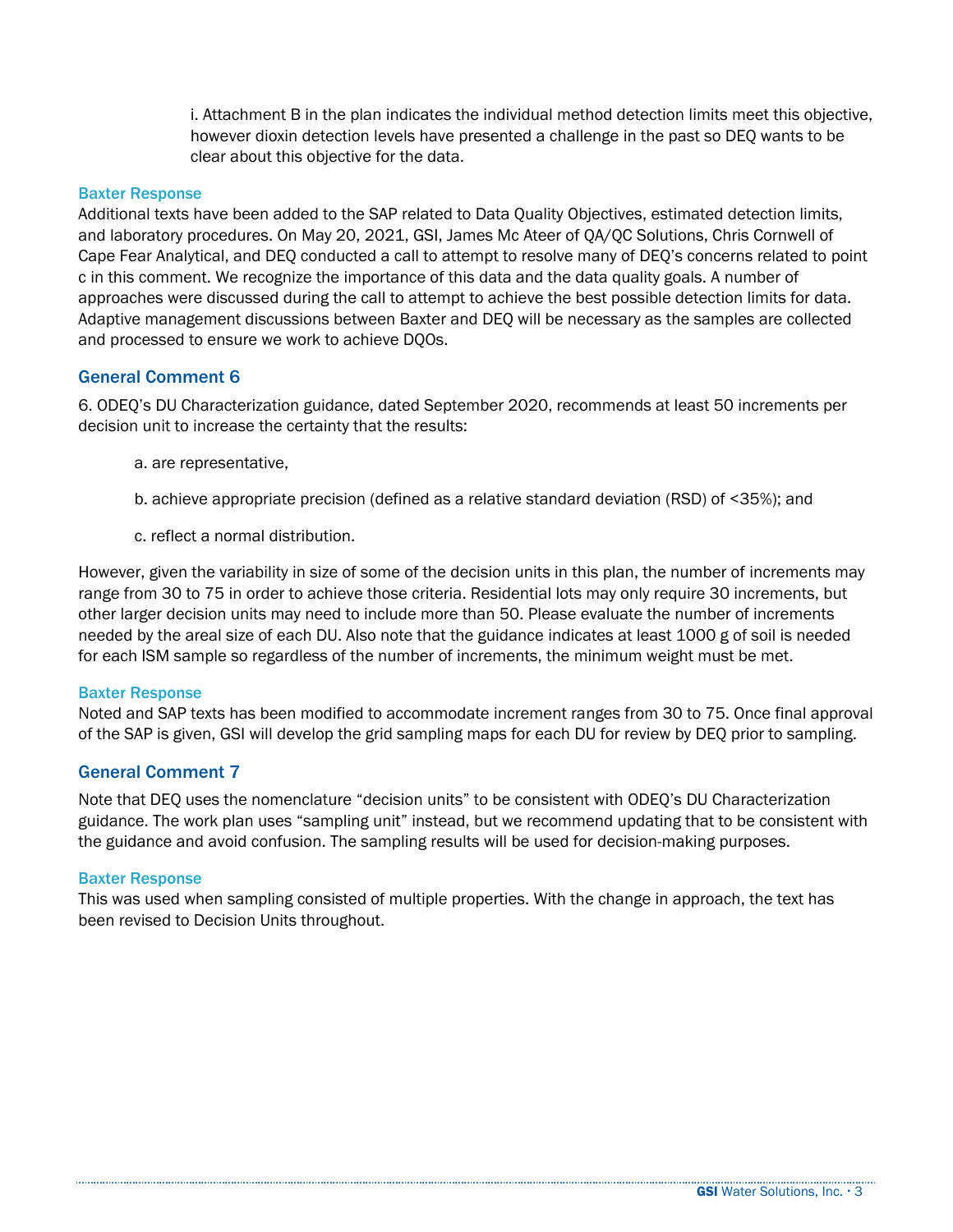i. Attachment B in the plan indicates the individual method detection limits meet this objective, however dioxin detection levels have presented a challenge in the past so DEQ wants to be clear about this objective for the data.

#### Baxter Response

Additional texts have been added to the SAP related to Data Quality Objectives, estimated detection limits, and laboratory procedures. On May 20, 2021, GSI, James Mc Ateer of QA/QC Solutions, Chris Cornwell of Cape Fear Analytical, and DEQ conducted a call to attempt to resolve many of DEQ's concerns related to point c in this comment. We recognize the importance of this data and the data quality goals. A number of approaches were discussed during the call to attempt to achieve the best possible detection limits for data. Adaptive management discussions between Baxter and DEQ will be necessary as the samples are collected and processed to ensure we work to achieve DQOs.

# General Comment 6

6. ODEQ's DU Characterization guidance, dated September 2020, recommends at least 50 increments per decision unit to increase the certainty that the results:

- a. are representative,
- b. achieve appropriate precision (defined as a relative standard deviation (RSD) of <35%); and
- c. reflect a normal distribution.

However, given the variability in size of some of the decision units in this plan, the number of increments may range from 30 to 75 in order to achieve those criteria. Residential lots may only require 30 increments, but other larger decision units may need to include more than 50. Please evaluate the number of increments needed by the areal size of each DU. Also note that the guidance indicates at least 1000 g of soil is needed for each ISM sample so regardless of the number of increments, the minimum weight must be met.

#### Baxter Response

Noted and SAP texts has been modified to accommodate increment ranges from 30 to 75. Once final approval of the SAP is given, GSI will develop the grid sampling maps for each DU for review by DEQ prior to sampling.

# General Comment 7

Note that DEQ uses the nomenclature "decision units" to be consistent with ODEQ's DU Characterization guidance. The work plan uses "sampling unit" instead, but we recommend updating that to be consistent with the guidance and avoid confusion. The sampling results will be used for decision-making purposes.

#### Baxter Response

This was used when sampling consisted of multiple properties. With the change in approach, the text has been revised to Decision Units throughout.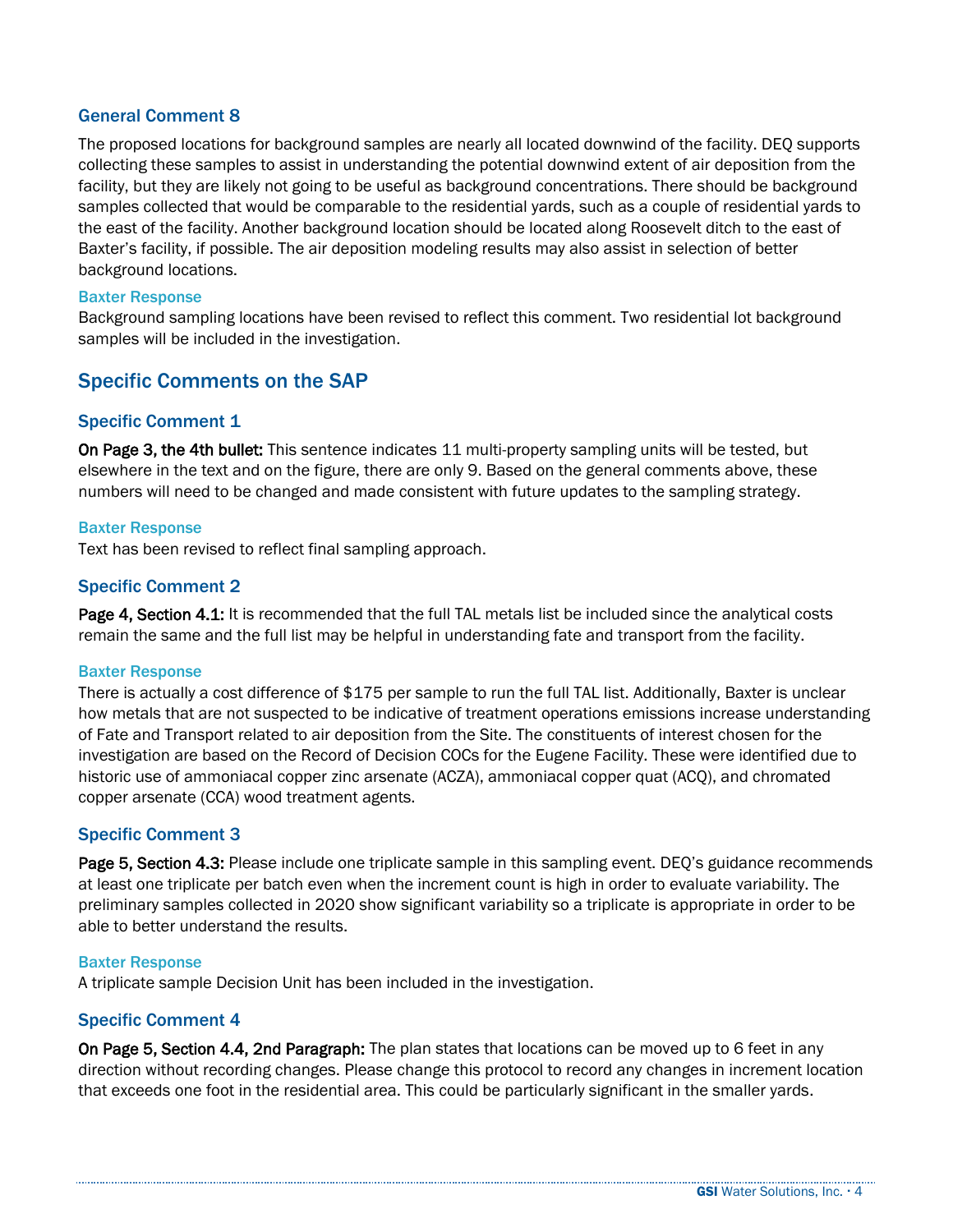## General Comment 8

The proposed locations for background samples are nearly all located downwind of the facility. DEQ supports collecting these samples to assist in understanding the potential downwind extent of air deposition from the facility, but they are likely not going to be useful as background concentrations. There should be background samples collected that would be comparable to the residential yards, such as a couple of residential yards to the east of the facility. Another background location should be located along Roosevelt ditch to the east of Baxter's facility, if possible. The air deposition modeling results may also assist in selection of better background locations.

#### Baxter Response

Background sampling locations have been revised to reflect this comment. Two residential lot background samples will be included in the investigation.

# Specific Comments on the SAP

## Specific Comment 1

On Page 3, the 4th bullet: This sentence indicates 11 multi-property sampling units will be tested, but elsewhere in the text and on the figure, there are only 9. Based on the general comments above, these numbers will need to be changed and made consistent with future updates to the sampling strategy.

#### Baxter Response

Text has been revised to reflect final sampling approach.

## Specific Comment 2

Page 4, Section 4.1: It is recommended that the full TAL metals list be included since the analytical costs remain the same and the full list may be helpful in understanding fate and transport from the facility.

#### Baxter Response

There is actually a cost difference of \$175 per sample to run the full TAL list. Additionally, Baxter is unclear how metals that are not suspected to be indicative of treatment operations emissions increase understanding of Fate and Transport related to air deposition from the Site. The constituents of interest chosen for the investigation are based on the Record of Decision COCs for the Eugene Facility. These were identified due to historic use of ammoniacal copper zinc arsenate (ACZA), ammoniacal copper quat (ACQ), and chromated copper arsenate (CCA) wood treatment agents.

#### Specific Comment 3

Page 5, Section 4.3: Please include one triplicate sample in this sampling event. DEQ's guidance recommends at least one triplicate per batch even when the increment count is high in order to evaluate variability. The preliminary samples collected in 2020 show significant variability so a triplicate is appropriate in order to be able to better understand the results.

#### Baxter Response

A triplicate sample Decision Unit has been included in the investigation.

#### Specific Comment 4

On Page 5, Section 4.4, 2nd Paragraph: The plan states that locations can be moved up to 6 feet in any direction without recording changes. Please change this protocol to record any changes in increment location that exceeds one foot in the residential area. This could be particularly significant in the smaller yards.